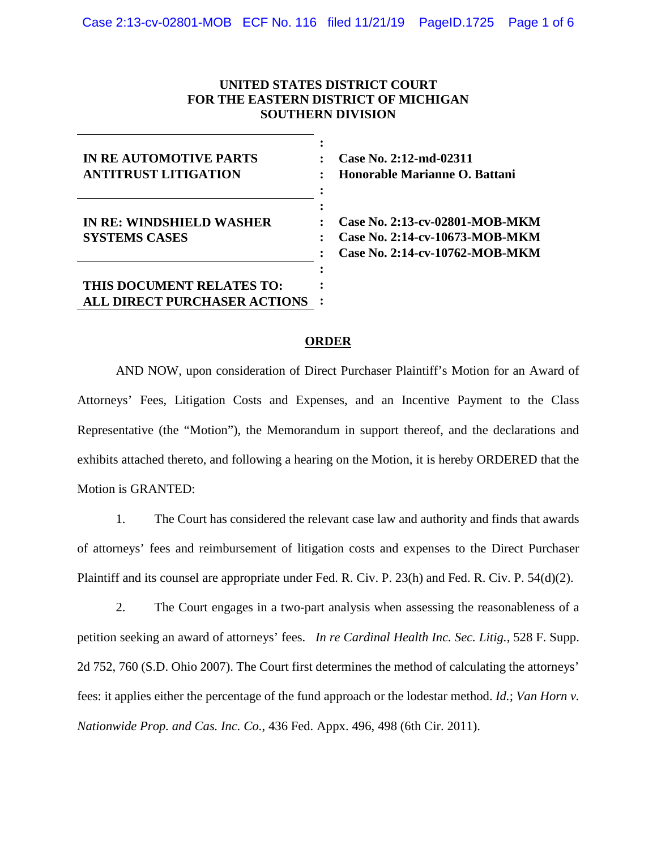## **UNITED STATES DISTRICT COURT FOR THE EASTERN DISTRICT OF MICHIGAN SOUTHERN DIVISION**

| <b>IN RE AUTOMOTIVE PARTS</b><br><b>ANTITRUST LITIGATION</b>     |  |
|------------------------------------------------------------------|--|
| <b>IN RE: WINDSHIELD WASHER</b><br><b>SYSTEMS CASES</b>          |  |
| THIS DOCUMENT RELATES TO:<br><b>ALL DIRECT PURCHASER ACTIONS</b> |  |

**Case No. 2:12-md-02311 Honorable Marianne O. Battani**

**Case No. 2:13-cv-02801-MOB-MKM Case No. 2:14-cv-10673-MOB-MKM Case No. 2:14-cv-10762-MOB-MKM**

## **ORDER**

AND NOW, upon consideration of Direct Purchaser Plaintiff's Motion for an Award of Attorneys' Fees, Litigation Costs and Expenses, and an Incentive Payment to the Class Representative (the "Motion"), the Memorandum in support thereof, and the declarations and exhibits attached thereto, and following a hearing on the Motion, it is hereby ORDERED that the Motion is GRANTED:

1. The Court has considered the relevant case law and authority and finds that awards of attorneys' fees and reimbursement of litigation costs and expenses to the Direct Purchaser Plaintiff and its counsel are appropriate under Fed. R. Civ. P. 23(h) and Fed. R. Civ. P. 54(d)(2).

2. The Court engages in a two-part analysis when assessing the reasonableness of a petition seeking an award of attorneys' fees. *In re Cardinal Health Inc. Sec. Litig.*, 528 F. Supp. 2d 752, 760 (S.D. Ohio 2007). The Court first determines the method of calculating the attorneys' fees: it applies either the percentage of the fund approach or the lodestar method. *Id.*; *Van Horn v. Nationwide Prop. and Cas. Inc. Co.*, 436 Fed. Appx. 496, 498 (6th Cir. 2011).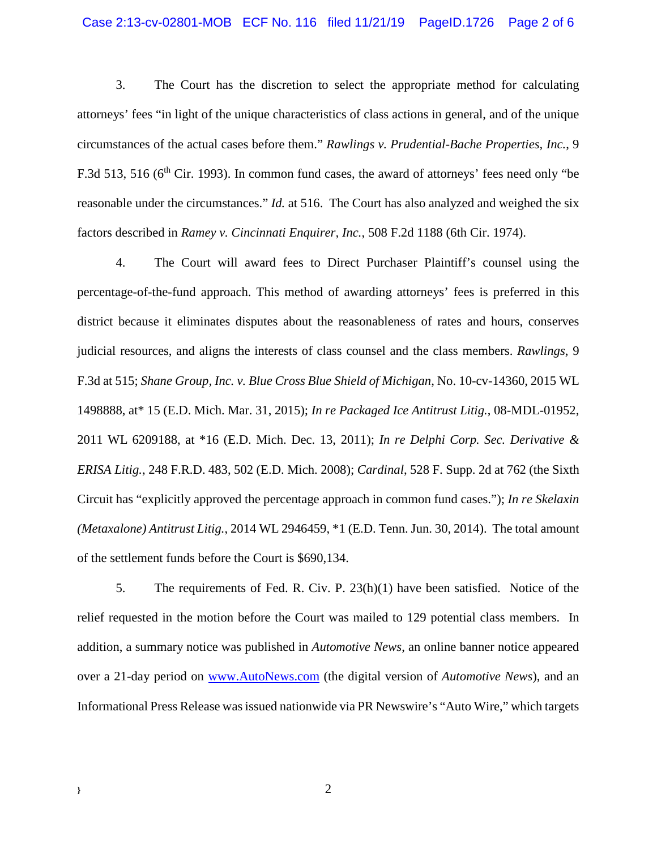### Case 2:13-cv-02801-MOB ECF No. 116 filed 11/21/19 PageID.1726 Page 2 of 6

3. The Court has the discretion to select the appropriate method for calculating attorneys' fees "in light of the unique characteristics of class actions in general, and of the unique circumstances of the actual cases before them." *Rawlings v. Prudential-Bache Properties, Inc.*, 9 F.3d 513, 516 ( $6<sup>th</sup>$  Cir. 1993). In common fund cases, the award of attorneys' fees need only "be reasonable under the circumstances." *Id.* at 516. The Court has also analyzed and weighed the six factors described in *Ramey v. Cincinnati Enquirer, Inc.*, 508 F.2d 1188 (6th Cir. 1974).

4. The Court will award fees to Direct Purchaser Plaintiff's counsel using the percentage-of-the-fund approach. This method of awarding attorneys' fees is preferred in this district because it eliminates disputes about the reasonableness of rates and hours, conserves judicial resources, and aligns the interests of class counsel and the class members. *Rawlings*, 9 F.3d at 515; *Shane Group, Inc. v. Blue Cross Blue Shield of Michigan*, No. 10-cv-14360, 2015 WL 1498888, at\* 15 (E.D. Mich. Mar. 31, 2015); *In re Packaged Ice Antitrust Litig.*, 08-MDL-01952, 2011 WL 6209188, at \*16 (E.D. Mich. Dec. 13, 2011); *In re Delphi Corp. Sec. Derivative & ERISA Litig.*, 248 F.R.D. 483, 502 (E.D. Mich. 2008); *Cardinal*, 528 F. Supp. 2d at 762 (the Sixth Circuit has "explicitly approved the percentage approach in common fund cases."); *In re Skelaxin (Metaxalone) Antitrust Litig.*, 2014 WL 2946459, \*1 (E.D. Tenn. Jun. 30, 2014). The total amount of the settlement funds before the Court is \$690,134.

5. The requirements of Fed. R. Civ. P. 23(h)(1) have been satisfied. Notice of the relief requested in the motion before the Court was mailed to 129 potential class members. In addition, a summary notice was published in *Automotive News*, an online banner notice appeared over a 21-day period on www.AutoNews.com (the digital version of *Automotive News*), and an Informational Press Release was issued nationwide via PR Newswire's "Auto Wire," which targets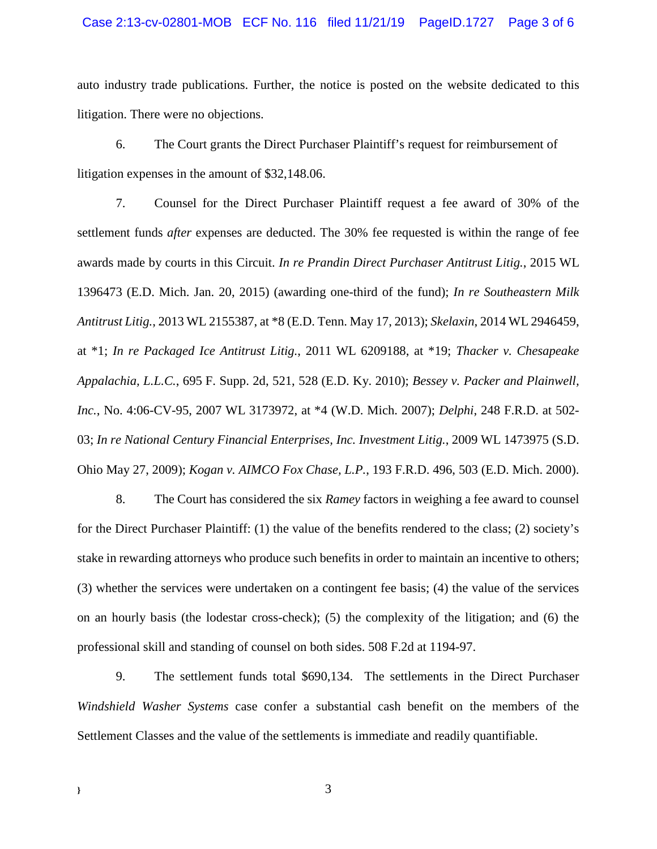### Case 2:13-cv-02801-MOB ECF No. 116 filed 11/21/19 PageID.1727 Page 3 of 6

auto industry trade publications. Further, the notice is posted on the website dedicated to this litigation. There were no objections.

6. The Court grants the Direct Purchaser Plaintiff's request for reimbursement of litigation expenses in the amount of \$32,148.06.

7. Counsel for the Direct Purchaser Plaintiff request a fee award of 30% of the settlement funds *after* expenses are deducted. The 30% fee requested is within the range of fee awards made by courts in this Circuit. *In re Prandin Direct Purchaser Antitrust Litig.*, 2015 WL 1396473 (E.D. Mich. Jan. 20, 2015) (awarding one-third of the fund); *In re Southeastern Milk Antitrust Litig.*, 2013 WL 2155387, at \*8 (E.D. Tenn. May 17, 2013); *Skelaxin*, 2014 WL 2946459, at \*1; *In re Packaged Ice Antitrust Litig.*, 2011 WL 6209188, at \*19; *Thacker v. Chesapeake Appalachia, L.L.C.*, 695 F. Supp. 2d, 521, 528 (E.D. Ky. 2010); *Bessey v. Packer and Plainwell, Inc.*, No. 4:06-CV-95, 2007 WL 3173972, at \*4 (W.D. Mich. 2007); *Delphi*, 248 F.R.D. at 502- 03; *In re National Century Financial Enterprises, Inc. Investment Litig.*, 2009 WL 1473975 (S.D. Ohio May 27, 2009); *Kogan v. AIMCO Fox Chase, L.P.*, 193 F.R.D. 496, 503 (E.D. Mich. 2000).

8. The Court has considered the six *Ramey* factors in weighing a fee award to counsel for the Direct Purchaser Plaintiff: (1) the value of the benefits rendered to the class; (2) society's stake in rewarding attorneys who produce such benefits in order to maintain an incentive to others; (3) whether the services were undertaken on a contingent fee basis; (4) the value of the services on an hourly basis (the lodestar cross-check); (5) the complexity of the litigation; and (6) the professional skill and standing of counsel on both sides. 508 F.2d at 1194-97.

9. The settlement funds total \$690,134. The settlements in the Direct Purchaser *Windshield Washer Systems* case confer a substantial cash benefit on the members of the Settlement Classes and the value of the settlements is immediate and readily quantifiable.

**}** 3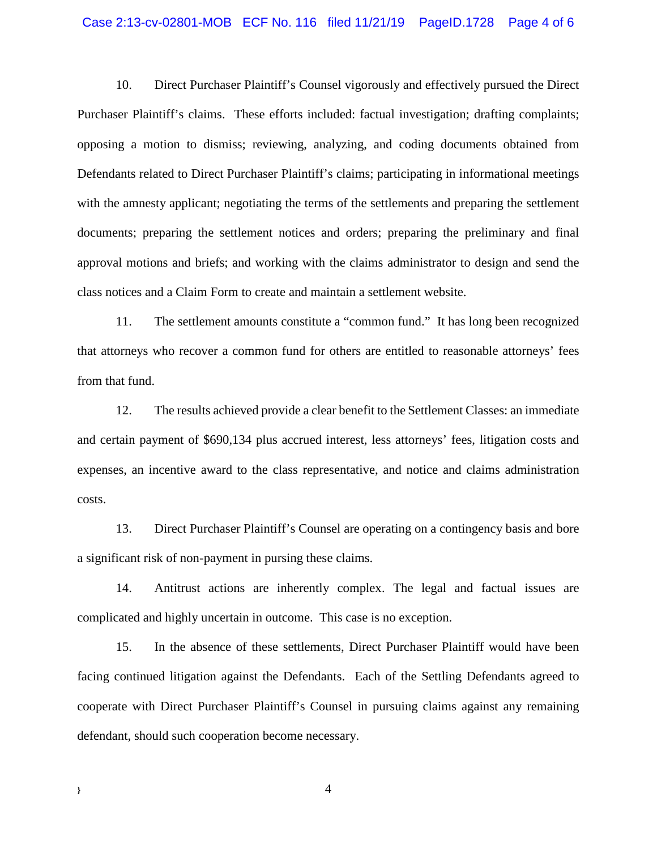### Case 2:13-cv-02801-MOB ECF No. 116 filed 11/21/19 PageID.1728 Page 4 of 6

10. Direct Purchaser Plaintiff's Counsel vigorously and effectively pursued the Direct Purchaser Plaintiff's claims. These efforts included: factual investigation; drafting complaints; opposing a motion to dismiss; reviewing, analyzing, and coding documents obtained from Defendants related to Direct Purchaser Plaintiff's claims; participating in informational meetings with the amnesty applicant; negotiating the terms of the settlements and preparing the settlement documents; preparing the settlement notices and orders; preparing the preliminary and final approval motions and briefs; and working with the claims administrator to design and send the class notices and a Claim Form to create and maintain a settlement website.

11. The settlement amounts constitute a "common fund." It has long been recognized that attorneys who recover a common fund for others are entitled to reasonable attorneys' fees from that fund.

12. The results achieved provide a clear benefit to the Settlement Classes: an immediate and certain payment of \$690,134 plus accrued interest, less attorneys' fees, litigation costs and expenses, an incentive award to the class representative, and notice and claims administration costs.

13. Direct Purchaser Plaintiff's Counsel are operating on a contingency basis and bore a significant risk of non-payment in pursing these claims.

14. Antitrust actions are inherently complex. The legal and factual issues are complicated and highly uncertain in outcome. This case is no exception.

15. In the absence of these settlements, Direct Purchaser Plaintiff would have been facing continued litigation against the Defendants. Each of the Settling Defendants agreed to cooperate with Direct Purchaser Plaintiff's Counsel in pursuing claims against any remaining defendant, should such cooperation become necessary.

**}** 4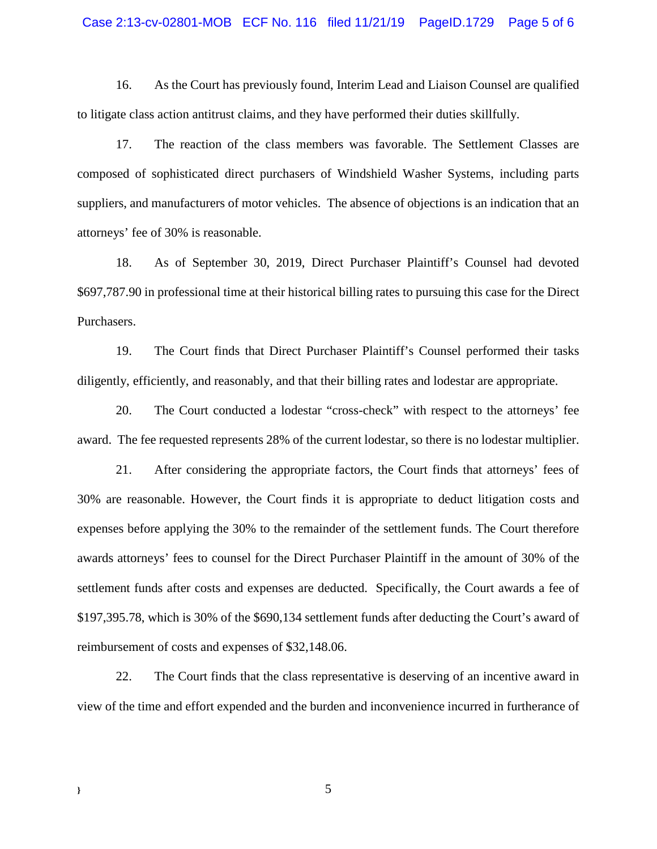#### Case 2:13-cv-02801-MOB ECF No. 116 filed 11/21/19 PageID.1729 Page 5 of 6

16. As the Court has previously found, Interim Lead and Liaison Counsel are qualified to litigate class action antitrust claims, and they have performed their duties skillfully.

17. The reaction of the class members was favorable. The Settlement Classes are composed of sophisticated direct purchasers of Windshield Washer Systems, including parts suppliers, and manufacturers of motor vehicles. The absence of objections is an indication that an attorneys' fee of 30% is reasonable.

18. As of September 30, 2019, Direct Purchaser Plaintiff's Counsel had devoted \$697,787.90 in professional time at their historical billing rates to pursuing this case for the Direct Purchasers.

19. The Court finds that Direct Purchaser Plaintiff's Counsel performed their tasks diligently, efficiently, and reasonably, and that their billing rates and lodestar are appropriate.

20. The Court conducted a lodestar "cross-check" with respect to the attorneys' fee award. The fee requested represents 28% of the current lodestar, so there is no lodestar multiplier.

21. After considering the appropriate factors, the Court finds that attorneys' fees of 30% are reasonable. However, the Court finds it is appropriate to deduct litigation costs and expenses before applying the 30% to the remainder of the settlement funds. The Court therefore awards attorneys' fees to counsel for the Direct Purchaser Plaintiff in the amount of 30% of the settlement funds after costs and expenses are deducted. Specifically, the Court awards a fee of \$197,395.78, which is 30% of the \$690,134 settlement funds after deducting the Court's award of reimbursement of costs and expenses of \$32,148.06.

22. The Court finds that the class representative is deserving of an incentive award in view of the time and effort expended and the burden and inconvenience incurred in furtherance of

**}** 5